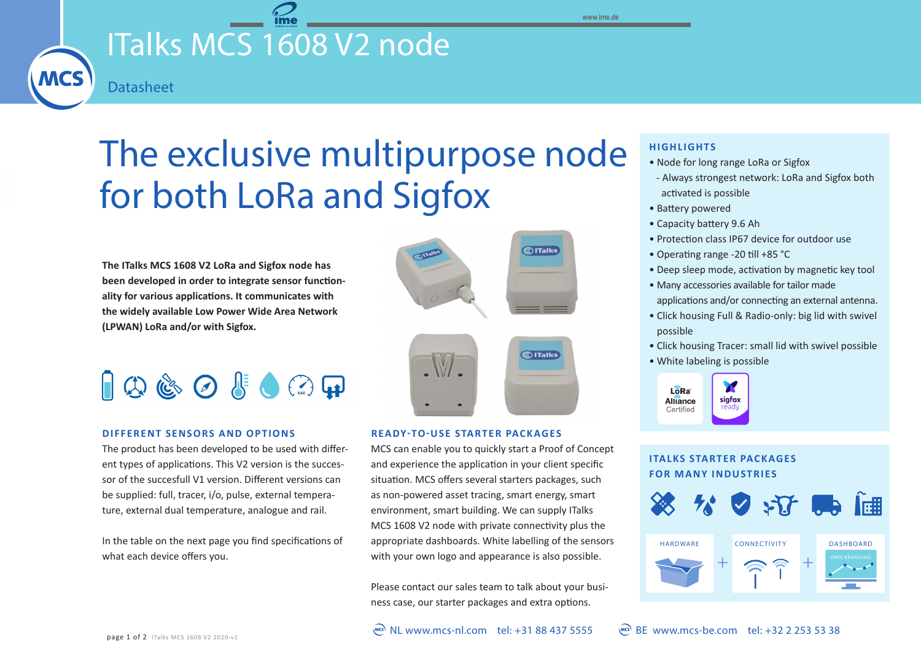**www.ime.de**

### ITalks MCS 1608 V2 node **MCS**

# The exclusive multipurpose node for both LoRa and Sigfox

**The ITalks MCS 1608 V2 LoRa and Sigfox node has been developed in order to integrate sensor functionality for various applications. It communicates with the widely available Low Power Wide Area Network (LPWAN) LoRa and/or with Sigfox.**

**Datasheet** 

## $\Box$  $\Box$   $\Diamond$   $\Diamond$   $\Diamond$   $\Box$

#### **DIFFERENT SENSORS AND OPTIONS**

The product has been developed to be used with different types of applications. This V2 version is the successor of the succesfull V1 version. Different versions can be supplied: full, tracer, i/o, pulse, external temperature, external dual temperature, analogue and rail.

In the table on the next page you find specifications of what each device offers you.



#### **READY-TO-USE STARTER PACKAGES**

MCS can enable you to quickly start a Proof of Concept and experience the application in your client specific situation. MCS offers several starters packages, such as non-powered asset tracing, smart energy, smart environment, smart building. We can supply ITalks MCS 1608 V2 node with private connectivity plus the appropriate dashboards. White labelling of the sensors with your own logo and appearance is also possible.

Please contact our sales team to talk about your business case, our starter packages and extra options.

#### **HIGHLIGHTS**

- Node for long range LoRa or Sigfox
- Always strongest network: LoRa and Sigfox both activated is possible
- Battery powered
- Capacity battery 9.6 Ah
- Protection class IP67 device for outdoor use
- Operating range -20 till +85 °C
- Deep sleep mode, activation by magnetic key tool
- Many accessories available for tailor made applications and/or connecting an external antenna.
- Click housing Full & Radio-only: big lid with swivel possible
- Click housing Tracer: small lid with swivel possible
- White labeling is possible



#### **ITALKS STARTER PACKAGES FOR MANY INDUSTRIES**